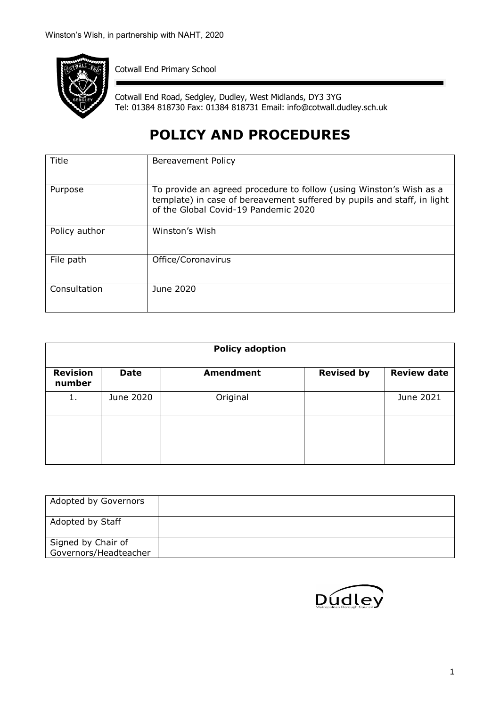

Cotwall End Primary School

Cotwall End Road, Sedgley, Dudley, West Midlands, DY3 3YG Tel: 01384 818730 Fax: 01384 818731 Email: info@cotwall.dudley.sch.uk

# **POLICY AND PROCEDURES**

| Title         | Bereavement Policy                                                                                                                                                                     |
|---------------|----------------------------------------------------------------------------------------------------------------------------------------------------------------------------------------|
| Purpose       | To provide an agreed procedure to follow (using Winston's Wish as a<br>template) in case of bereavement suffered by pupils and staff, in light<br>of the Global Covid-19 Pandemic 2020 |
| Policy author | Winston's Wish                                                                                                                                                                         |
| File path     | Office/Coronavirus                                                                                                                                                                     |
| Consultation  | June 2020                                                                                                                                                                              |

| <b>Policy adoption</b>    |             |                  |                   |                    |
|---------------------------|-------------|------------------|-------------------|--------------------|
| <b>Revision</b><br>number | <b>Date</b> | <b>Amendment</b> | <b>Revised by</b> | <b>Review date</b> |
| 1.                        | June 2020   | Original         |                   | June 2021          |
|                           |             |                  |                   |                    |
|                           |             |                  |                   |                    |

| Adopted by Governors                        |  |
|---------------------------------------------|--|
| Adopted by Staff                            |  |
| Signed by Chair of<br>Governors/Headteacher |  |

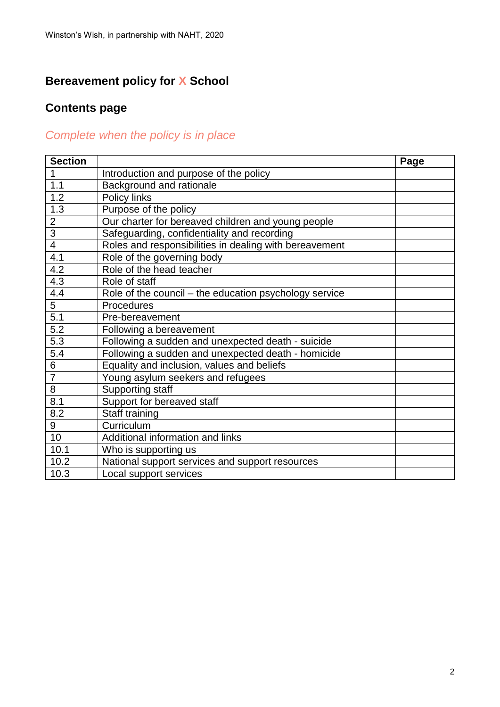## **Bereavement policy for X School**

## **Contents page**

## *Complete when the policy is in place*

| <b>Section</b>   |                                                        | Page |
|------------------|--------------------------------------------------------|------|
| 1                | Introduction and purpose of the policy                 |      |
| 1.1              | Background and rationale                               |      |
| 1.2              | Policy links                                           |      |
| $1.\overline{3}$ | Purpose of the policy                                  |      |
| $\overline{2}$   | Our charter for bereaved children and young people     |      |
| $\overline{3}$   | Safeguarding, confidentiality and recording            |      |
| $\overline{4}$   | Roles and responsibilities in dealing with bereavement |      |
| 4.1              | Role of the governing body                             |      |
| 4.2              | Role of the head teacher                               |      |
| 4.3              | Role of staff                                          |      |
| 4.4              | Role of the council – the education psychology service |      |
| 5                | Procedures                                             |      |
| 5.1              | Pre-bereavement                                        |      |
| 5.2              | Following a bereavement                                |      |
| 5.3              | Following a sudden and unexpected death - suicide      |      |
| 5.4              | Following a sudden and unexpected death - homicide     |      |
| 6                | Equality and inclusion, values and beliefs             |      |
| $\overline{7}$   | Young asylum seekers and refugees                      |      |
| 8                | <b>Supporting staff</b>                                |      |
| 8.1              | Support for bereaved staff                             |      |
| 8.2              | Staff training                                         |      |
| 9                | Curriculum                                             |      |
| 10               | Additional information and links                       |      |
| 10.1             | Who is supporting us                                   |      |
| 10.2             | National support services and support resources        |      |
| 10.3             | Local support services                                 |      |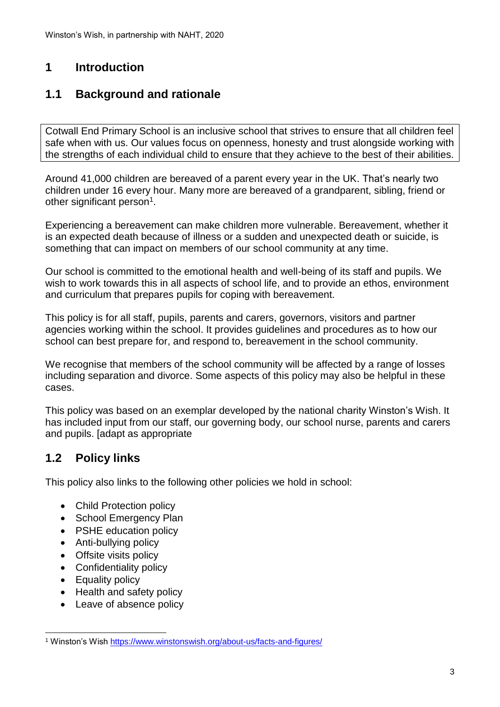### **1 Introduction**

### **1.1 Background and rationale**

Cotwall End Primary School is an inclusive school that strives to ensure that all children feel safe when with us. Our values focus on openness, honesty and trust alongside working with the strengths of each individual child to ensure that they achieve to the best of their abilities.

Around 41,000 children are bereaved of a parent every year in the UK. That's nearly two children under 16 every hour. Many more are bereaved of a grandparent, sibling, friend or other significant person<sup>1</sup>.

Experiencing a bereavement can make children more vulnerable. Bereavement, whether it is an expected death because of illness or a sudden and unexpected death or suicide, is something that can impact on members of our school community at any time.

Our school is committed to the emotional health and well-being of its staff and pupils. We wish to work towards this in all aspects of school life, and to provide an ethos, environment and curriculum that prepares pupils for coping with bereavement.

This policy is for all staff, pupils, parents and carers, governors, visitors and partner agencies working within the school. It provides guidelines and procedures as to how our school can best prepare for, and respond to, bereavement in the school community.

We recognise that members of the school community will be affected by a range of losses including separation and divorce. Some aspects of this policy may also be helpful in these cases.

This policy was based on an exemplar developed by the national charity Winston's Wish. It has included input from our staff, our governing body, our school nurse, parents and carers and pupils. [adapt as appropriate

### **1.2 Policy links**

This policy also links to the following other policies we hold in school:

- Child Protection policy
- School Emergency Plan
- PSHE education policy
- Anti-bullying policy
- Offsite visits policy
- Confidentiality policy
- Equality policy
- Health and safety policy
- Leave of absence policy

 $\overline{a}$ <sup>1</sup> Winston's Wish<https://www.winstonswish.org/about-us/facts-and-figures/>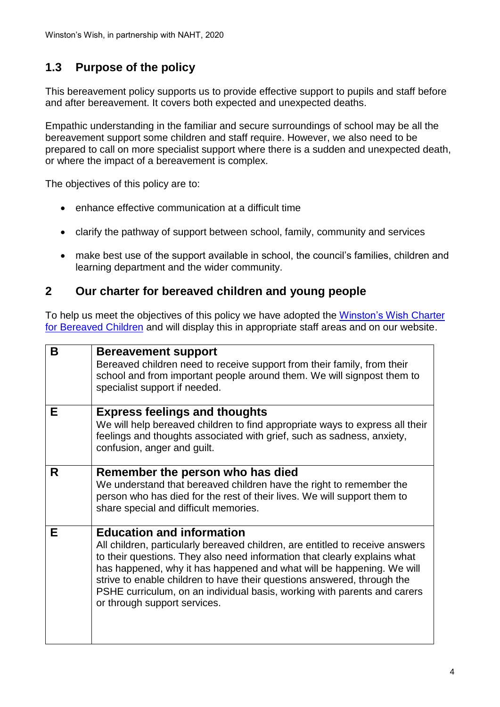### **1.3 Purpose of the policy**

This bereavement policy supports us to provide effective support to pupils and staff before and after bereavement. It covers both expected and unexpected deaths.

Empathic understanding in the familiar and secure surroundings of school may be all the bereavement support some children and staff require. However, we also need to be prepared to call on more specialist support where there is a sudden and unexpected death, or where the impact of a bereavement is complex.

The objectives of this policy are to:

- enhance effective communication at a difficult time
- clarify the pathway of support between school, family, community and services
- make best use of the support available in school, the council's families, children and learning department and the wider community.

#### **2 Our charter for bereaved children and young people**

To help us meet the objectives of this policy we have adopted the [Winston's Wish](https://www.winstonswish.org/wp-content/uploads/2018/01/ww-0107-CBC-lo.pdf) Charter [for Bereaved Children](https://www.winstonswish.org/wp-content/uploads/2018/01/ww-0107-CBC-lo.pdf) and will display this in appropriate staff areas and on our website.

| B | <b>Bereavement support</b><br>Bereaved children need to receive support from their family, from their<br>school and from important people around them. We will signpost them to<br>specialist support if needed.                                                                                                                                                                                                                                               |
|---|----------------------------------------------------------------------------------------------------------------------------------------------------------------------------------------------------------------------------------------------------------------------------------------------------------------------------------------------------------------------------------------------------------------------------------------------------------------|
| Е | <b>Express feelings and thoughts</b><br>We will help bereaved children to find appropriate ways to express all their<br>feelings and thoughts associated with grief, such as sadness, anxiety,<br>confusion, anger and guilt.                                                                                                                                                                                                                                  |
| R | Remember the person who has died<br>We understand that bereaved children have the right to remember the<br>person who has died for the rest of their lives. We will support them to<br>share special and difficult memories.                                                                                                                                                                                                                                   |
| Е | <b>Education and information</b><br>All children, particularly bereaved children, are entitled to receive answers<br>to their questions. They also need information that clearly explains what<br>has happened, why it has happened and what will be happening. We will<br>strive to enable children to have their questions answered, through the<br>PSHE curriculum, on an individual basis, working with parents and carers<br>or through support services. |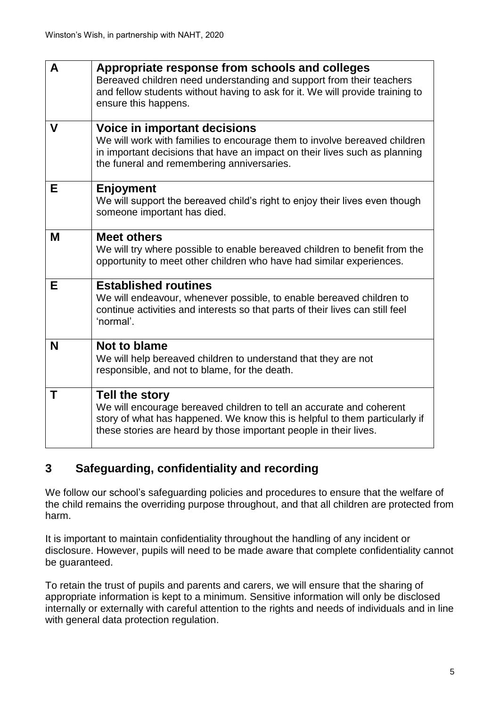| A           | Appropriate response from schools and colleges<br>Bereaved children need understanding and support from their teachers<br>and fellow students without having to ask for it. We will provide training to<br>ensure this happens.              |
|-------------|----------------------------------------------------------------------------------------------------------------------------------------------------------------------------------------------------------------------------------------------|
| $\mathbf v$ | <b>Voice in important decisions</b><br>We will work with families to encourage them to involve bereaved children<br>in important decisions that have an impact on their lives such as planning<br>the funeral and remembering anniversaries. |
| Е           | <b>Enjoyment</b><br>We will support the bereaved child's right to enjoy their lives even though<br>someone important has died.                                                                                                               |
| M           | <b>Meet others</b><br>We will try where possible to enable bereaved children to benefit from the<br>opportunity to meet other children who have had similar experiences.                                                                     |
| Е           | <b>Established routines</b><br>We will endeavour, whenever possible, to enable bereaved children to<br>continue activities and interests so that parts of their lives can still feel<br>'normal'.                                            |
| N           | Not to blame<br>We will help bereaved children to understand that they are not<br>responsible, and not to blame, for the death.                                                                                                              |
| т           | Tell the story<br>We will encourage bereaved children to tell an accurate and coherent<br>story of what has happened. We know this is helpful to them particularly if<br>these stories are heard by those important people in their lives.   |

### **3 Safeguarding, confidentiality and recording**

We follow our school's safeguarding policies and procedures to ensure that the welfare of the child remains the overriding purpose throughout, and that all children are protected from harm.

It is important to maintain confidentiality throughout the handling of any incident or disclosure. However, pupils will need to be made aware that complete confidentiality cannot be guaranteed.

To retain the trust of pupils and parents and carers, we will ensure that the sharing of appropriate information is kept to a minimum. Sensitive information will only be disclosed internally or externally with careful attention to the rights and needs of individuals and in line with general data protection regulation.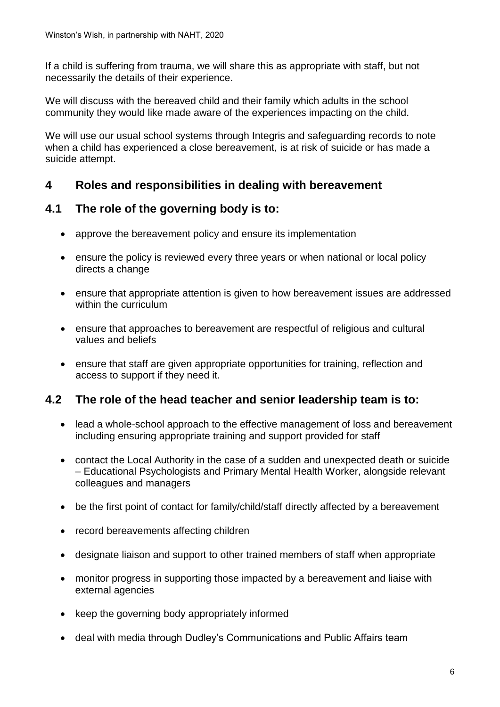If a child is suffering from trauma, we will share this as appropriate with staff, but not necessarily the details of their experience.

We will discuss with the bereaved child and their family which adults in the school community they would like made aware of the experiences impacting on the child.

We will use our usual school systems through Integris and safeguarding records to note when a child has experienced a close bereavement, is at risk of suicide or has made a suicide attempt.

#### **4 Roles and responsibilities in dealing with bereavement**

#### **4.1 The role of the governing body is to:**

- approve the bereavement policy and ensure its implementation
- ensure the policy is reviewed every three years or when national or local policy directs a change
- ensure that appropriate attention is given to how bereavement issues are addressed within the curriculum
- ensure that approaches to bereavement are respectful of religious and cultural values and beliefs
- ensure that staff are given appropriate opportunities for training, reflection and access to support if they need it.

#### **4.2 The role of the head teacher and senior leadership team is to:**

- lead a whole-school approach to the effective management of loss and bereavement including ensuring appropriate training and support provided for staff
- contact the Local Authority in the case of a sudden and unexpected death or suicide – Educational Psychologists and Primary Mental Health Worker, alongside relevant colleagues and managers
- be the first point of contact for family/child/staff directly affected by a bereavement
- record bereavements affecting children
- designate liaison and support to other trained members of staff when appropriate
- monitor progress in supporting those impacted by a bereavement and liaise with external agencies
- keep the governing body appropriately informed
- deal with media through Dudley's Communications and Public Affairs team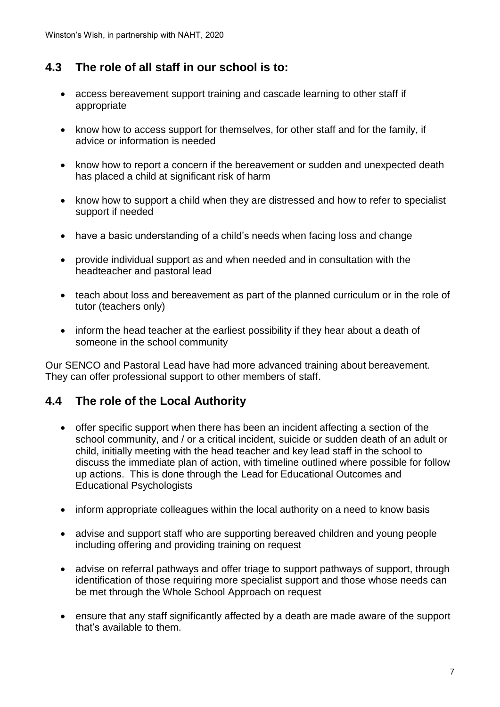### **4.3 The role of all staff in our school is to:**

- access bereavement support training and cascade learning to other staff if appropriate
- know how to access support for themselves, for other staff and for the family, if advice or information is needed
- know how to report a concern if the bereavement or sudden and unexpected death has placed a child at significant risk of harm
- know how to support a child when they are distressed and how to refer to specialist support if needed
- have a basic understanding of a child's needs when facing loss and change
- provide individual support as and when needed and in consultation with the headteacher and pastoral lead
- teach about loss and bereavement as part of the planned curriculum or in the role of tutor (teachers only)
- inform the head teacher at the earliest possibility if they hear about a death of someone in the school community

Our SENCO and Pastoral Lead have had more advanced training about bereavement. They can offer professional support to other members of staff.

#### **4.4 The role of the Local Authority**

- offer specific support when there has been an incident affecting a section of the school community, and / or a critical incident, suicide or sudden death of an adult or child, initially meeting with the head teacher and key lead staff in the school to discuss the immediate plan of action, with timeline outlined where possible for follow up actions. This is done through the Lead for Educational Outcomes and Educational Psychologists
- inform appropriate colleagues within the local authority on a need to know basis
- advise and support staff who are supporting bereaved children and young people including offering and providing training on request
- advise on referral pathways and offer triage to support pathways of support, through identification of those requiring more specialist support and those whose needs can be met through the Whole School Approach on request
- ensure that any staff significantly affected by a death are made aware of the support that's available to them.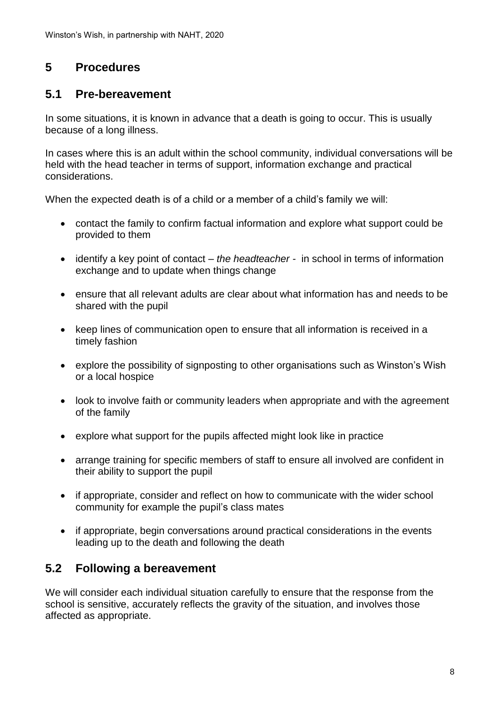### **5 Procedures**

### **5.1 Pre-bereavement**

In some situations, it is known in advance that a death is going to occur. This is usually because of a long illness.

In cases where this is an adult within the school community, individual conversations will be held with the head teacher in terms of support, information exchange and practical considerations.

When the expected death is of a child or a member of a child's family we will:

- contact the family to confirm factual information and explore what support could be provided to them
- identify a key point of contact *– the headteacher -* in school in terms of information exchange and to update when things change
- ensure that all relevant adults are clear about what information has and needs to be shared with the pupil
- keep lines of communication open to ensure that all information is received in a timely fashion
- explore the possibility of signposting to other organisations such as Winston's Wish or a local hospice
- look to involve faith or community leaders when appropriate and with the agreement of the family
- explore what support for the pupils affected might look like in practice
- arrange training for specific members of staff to ensure all involved are confident in their ability to support the pupil
- if appropriate, consider and reflect on how to communicate with the wider school community for example the pupil's class mates
- if appropriate, begin conversations around practical considerations in the events leading up to the death and following the death

### **5.2 Following a bereavement**

We will consider each individual situation carefully to ensure that the response from the school is sensitive, accurately reflects the gravity of the situation, and involves those affected as appropriate.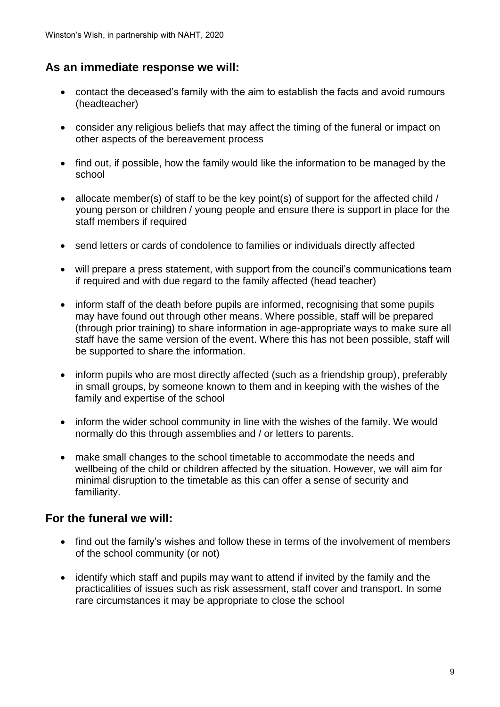#### **As an immediate response we will:**

- contact the deceased's family with the aim to establish the facts and avoid rumours (headteacher)
- consider any religious beliefs that may affect the timing of the funeral or impact on other aspects of the bereavement process
- find out, if possible, how the family would like the information to be managed by the school
- allocate member(s) of staff to be the key point(s) of support for the affected child / young person or children / young people and ensure there is support in place for the staff members if required
- send letters or cards of condolence to families or individuals directly affected
- will prepare a press statement, with support from the council's communications team if required and with due regard to the family affected (head teacher)
- inform staff of the death before pupils are informed, recognising that some pupils may have found out through other means. Where possible, staff will be prepared (through prior training) to share information in age-appropriate ways to make sure all staff have the same version of the event. Where this has not been possible, staff will be supported to share the information.
- inform pupils who are most directly affected (such as a friendship group), preferably in small groups, by someone known to them and in keeping with the wishes of the family and expertise of the school
- inform the wider school community in line with the wishes of the family. We would normally do this through assemblies and / or letters to parents.
- make small changes to the school timetable to accommodate the needs and wellbeing of the child or children affected by the situation. However, we will aim for minimal disruption to the timetable as this can offer a sense of security and familiarity.

#### **For the funeral we will:**

- find out the family's wishes and follow these in terms of the involvement of members of the school community (or not)
- identify which staff and pupils may want to attend if invited by the family and the practicalities of issues such as risk assessment, staff cover and transport. In some rare circumstances it may be appropriate to close the school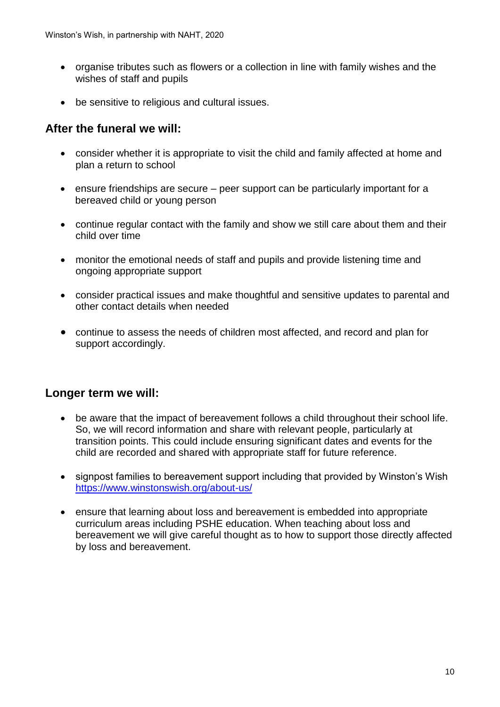- organise tributes such as flowers or a collection in line with family wishes and the wishes of staff and pupils
- be sensitive to religious and cultural issues.

#### **After the funeral we will:**

- consider whether it is appropriate to visit the child and family affected at home and plan a return to school
- ensure friendships are secure peer support can be particularly important for a bereaved child or young person
- continue regular contact with the family and show we still care about them and their child over time
- monitor the emotional needs of staff and pupils and provide listening time and ongoing appropriate support
- consider practical issues and make thoughtful and sensitive updates to parental and other contact details when needed
- continue to assess the needs of children most affected, and record and plan for support accordingly.

#### **Longer term we will:**

- be aware that the impact of bereavement follows a child throughout their school life. So, we will record information and share with relevant people, particularly at transition points. This could include ensuring significant dates and events for the child are recorded and shared with appropriate staff for future reference.
- signpost families to bereavement support including that provided by Winston's Wish <https://www.winstonswish.org/about-us/>
- ensure that learning about loss and bereavement is embedded into appropriate curriculum areas including PSHE education. When teaching about loss and bereavement we will give careful thought as to how to support those directly affected by loss and bereavement.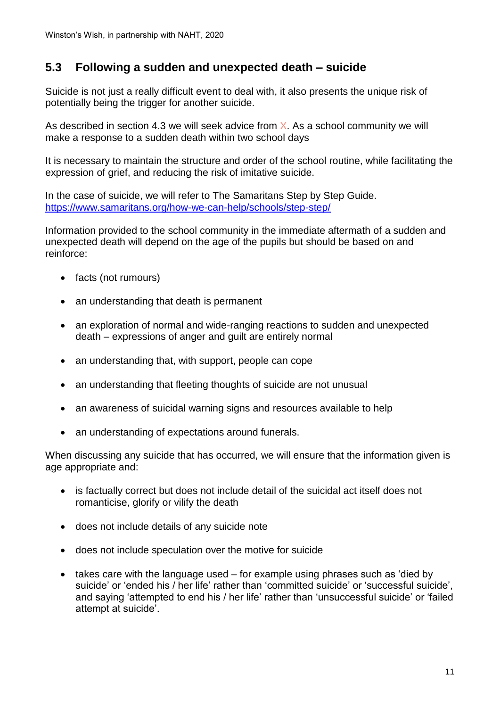#### **5.3 Following a sudden and unexpected death – suicide**

Suicide is not just a really difficult event to deal with, it also presents the unique risk of potentially being the trigger for another suicide.

As described in section 4.3 we will seek advice from  $X$ . As a school community we will make a response to a sudden death within two school days

It is necessary to maintain the structure and order of the school routine, while facilitating the expression of grief, and reducing the risk of imitative suicide.

In the case of suicide, we will refer to The Samaritans Step by Step Guide. <https://www.samaritans.org/how-we-can-help/schools/step-step/>

Information provided to the school community in the immediate aftermath of a sudden and unexpected death will depend on the age of the pupils but should be based on and reinforce:

- facts (not rumours)
- an understanding that death is permanent
- an exploration of normal and wide-ranging reactions to sudden and unexpected death – expressions of anger and guilt are entirely normal
- an understanding that, with support, people can cope
- an understanding that fleeting thoughts of suicide are not unusual
- an awareness of suicidal warning signs and resources available to help
- an understanding of expectations around funerals.

When discussing any suicide that has occurred, we will ensure that the information given is age appropriate and:

- is factually correct but does not include detail of the suicidal act itself does not romanticise, glorify or vilify the death
- does not include details of any suicide note
- does not include speculation over the motive for suicide
- takes care with the language used for example using phrases such as 'died by suicide' or 'ended his / her life' rather than 'committed suicide' or 'successful suicide', and saying 'attempted to end his / her life' rather than 'unsuccessful suicide' or 'failed attempt at suicide'.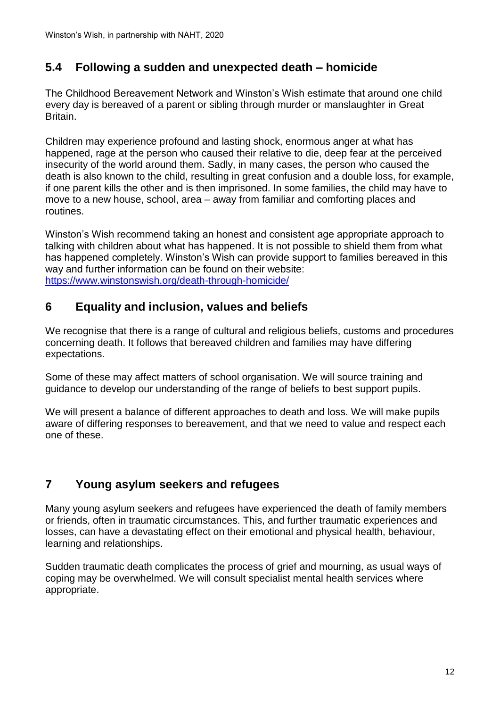### **5.4 Following a sudden and unexpected death – homicide**

The Childhood Bereavement Network and Winston's Wish estimate that around one child every day is bereaved of a parent or sibling through murder or manslaughter in Great Britain.

Children may experience profound and lasting shock, enormous anger at what has happened, rage at the person who caused their relative to die, deep fear at the perceived insecurity of the world around them. Sadly, in many cases, the person who caused the death is also known to the child, resulting in great confusion and a double loss, for example, if one parent kills the other and is then imprisoned. In some families, the child may have to move to a new house, school, area – away from familiar and comforting places and routines.

Winston's Wish recommend taking an honest and consistent age appropriate approach to talking with children about what has happened. It is not possible to shield them from what has happened completely. Winston's Wish can provide support to families bereaved in this way and further information can be found on their website: <https://www.winstonswish.org/death-through-homicide/>

### **6 Equality and inclusion, values and beliefs**

We recognise that there is a range of cultural and religious beliefs, customs and procedures concerning death. It follows that bereaved children and families may have differing expectations.

Some of these may affect matters of school organisation. We will source training and guidance to develop our understanding of the range of beliefs to best support pupils.

We will present a balance of different approaches to death and loss. We will make pupils aware of differing responses to bereavement, and that we need to value and respect each one of these.

### **7 Young asylum seekers and refugees**

Many young asylum seekers and refugees have experienced the death of family members or friends, often in traumatic circumstances. This, and further traumatic experiences and losses, can have a devastating effect on their emotional and physical health, behaviour, learning and relationships.

Sudden traumatic death complicates the process of grief and mourning, as usual ways of coping may be overwhelmed. We will consult specialist mental health services where appropriate.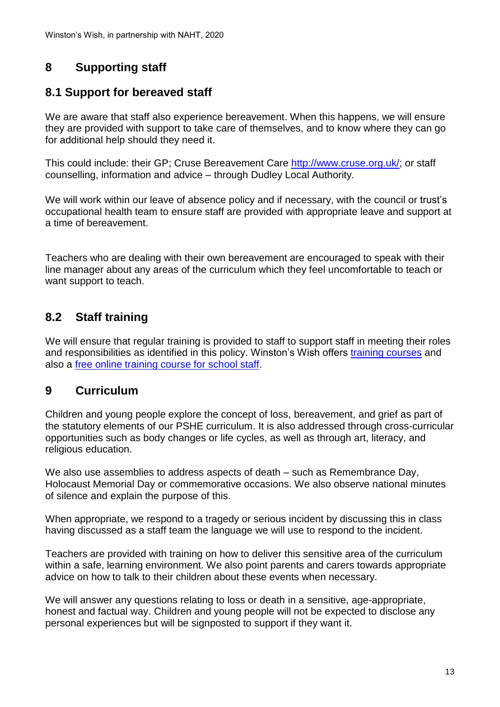### **8 Supporting staff**

### **8.1 Support for bereaved staff**

We are aware that staff also experience bereavement. When this happens, we will ensure they are provided with support to take care of themselves, and to know where they can go for additional help should they need it.

This could include: their GP; Cruse Bereavement Care [http://www.cruse.org.uk/;](http://www.cruse.org.uk/) or staff counselling, information and advice – through Dudley Local Authority.

We will work within our leave of absence policy and if necessary, with the council or trust's occupational health team to ensure staff are provided with appropriate leave and support at a time of bereavement.

Teachers who are dealing with their own bereavement are encouraged to speak with their line manager about any areas of the curriculum which they feel uncomfortable to teach or want support to teach.

### **8.2 Staff training**

We will ensure that regular training is provided to staff to support staff in meeting their roles and responsibilities as identified in this policy. Winston's Wish offers [training courses](https://www.winstonswish.org/supporting-you/professionals-and-training/) and also a [free online training course for school staff.](https://www.winstonswish.org/bereavement-training-courses-schools/)

#### **9 Curriculum**

Children and young people explore the concept of loss, bereavement, and grief as part of the statutory elements of our PSHE curriculum. It is also addressed through cross-curricular opportunities such as body changes or life cycles, as well as through art, literacy, and religious education.

We also use assemblies to address aspects of death – such as Remembrance Day, Holocaust Memorial Day or commemorative occasions. We also observe national minutes of silence and explain the purpose of this.

When appropriate, we respond to a tragedy or serious incident by discussing this in class having discussed as a staff team the language we will use to respond to the incident.

Teachers are provided with training on how to deliver this sensitive area of the curriculum within a safe, learning environment. We also point parents and carers towards appropriate advice on how to talk to their children about these events when necessary.

We will answer any questions relating to loss or death in a sensitive, age-appropriate, honest and factual way. Children and young people will not be expected to disclose any personal experiences but will be signposted to support if they want it.